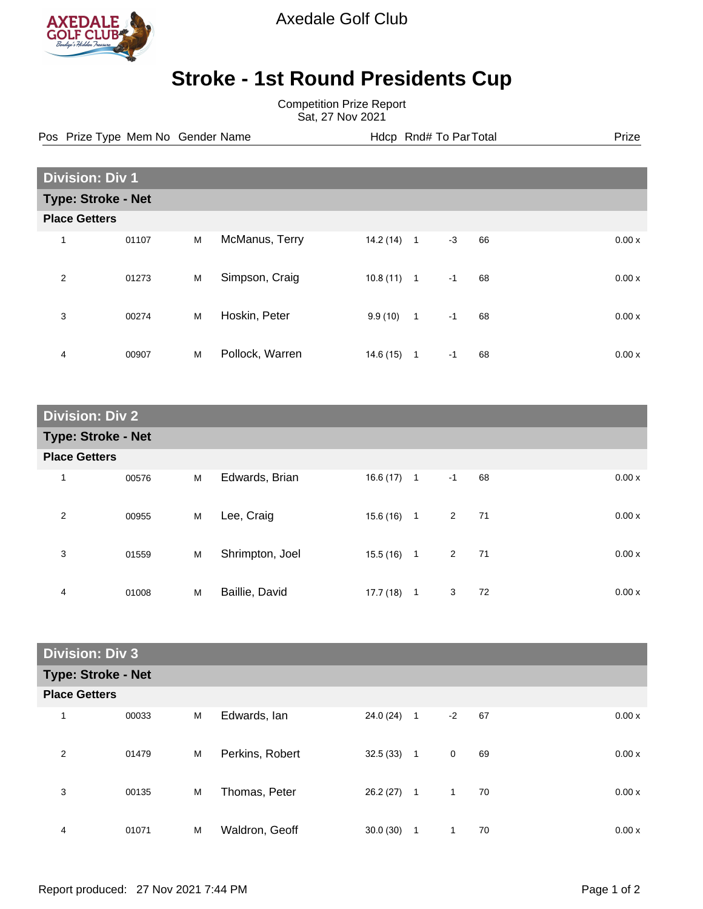

Axedale Golf Club

## **Stroke - 1st Round Presidents Cup**

Competition Prize Report Sat, 27 Nov 2021

Pos Prize Type Mem No Gender Name **Health Hotel And America** Hotel Hotel Prize Prize

| <b>Division: Div 1</b>    |       |   |                 |           |                |      |    |  |       |
|---------------------------|-------|---|-----------------|-----------|----------------|------|----|--|-------|
| <b>Type: Stroke - Net</b> |       |   |                 |           |                |      |    |  |       |
| <b>Place Getters</b>      |       |   |                 |           |                |      |    |  |       |
| 1                         | 01107 | M | McManus, Terry  | 14.2(14)  | $\overline{1}$ | $-3$ | 66 |  | 0.00x |
| 2                         | 01273 | M | Simpson, Craig  | 10.8(11)  | $\overline{1}$ | $-1$ | 68 |  | 0.00x |
| 3                         | 00274 | M | Hoskin, Peter   | 9.9(10)   | $\mathbf{1}$   | $-1$ | 68 |  | 0.00x |
| 4                         | 00907 | M | Pollock, Warren | 14.6 (15) | $\mathbf 1$    | $-1$ | 68 |  | 0.00x |

| <b>Division: Div 2</b>    |       |   |                 |              |  |                |    |       |
|---------------------------|-------|---|-----------------|--------------|--|----------------|----|-------|
| <b>Type: Stroke - Net</b> |       |   |                 |              |  |                |    |       |
| <b>Place Getters</b>      |       |   |                 |              |  |                |    |       |
| 1                         | 00576 | M | Edwards, Brian  | $16.6(17)$ 1 |  | $-1$           | 68 | 0.00x |
| $\overline{2}$            | 00955 | M | Lee, Craig      | $15.6(16)$ 1 |  | $\overline{2}$ | 71 | 0.00x |
| 3                         | 01559 | M | Shrimpton, Joel | $15.5(16)$ 1 |  | 2              | 71 | 0.00x |
| 4                         | 01008 | M | Baillie, David  | $17.7(18)$ 1 |  | 3              | 72 | 0.00x |

| <b>Division: Div 3</b>    |       |   |                 |           |              |              |    |       |
|---------------------------|-------|---|-----------------|-----------|--------------|--------------|----|-------|
| <b>Type: Stroke - Net</b> |       |   |                 |           |              |              |    |       |
| <b>Place Getters</b>      |       |   |                 |           |              |              |    |       |
| 1                         | 00033 | M | Edwards, Ian    | 24.0(24)  | $\mathbf{1}$ | $-2$         | 67 | 0.00x |
| 2                         | 01479 | M | Perkins, Robert | 32.5(33)  | $\mathbf{1}$ | $\mathbf 0$  | 69 | 0.00x |
| 3                         | 00135 | M | Thomas, Peter   | 26.2 (27) | $\mathbf{1}$ | $\mathbf{1}$ | 70 | 0.00x |
| 4                         | 01071 | M | Waldron, Geoff  | 30.0(30)  | 1            | 1            | 70 | 0.00x |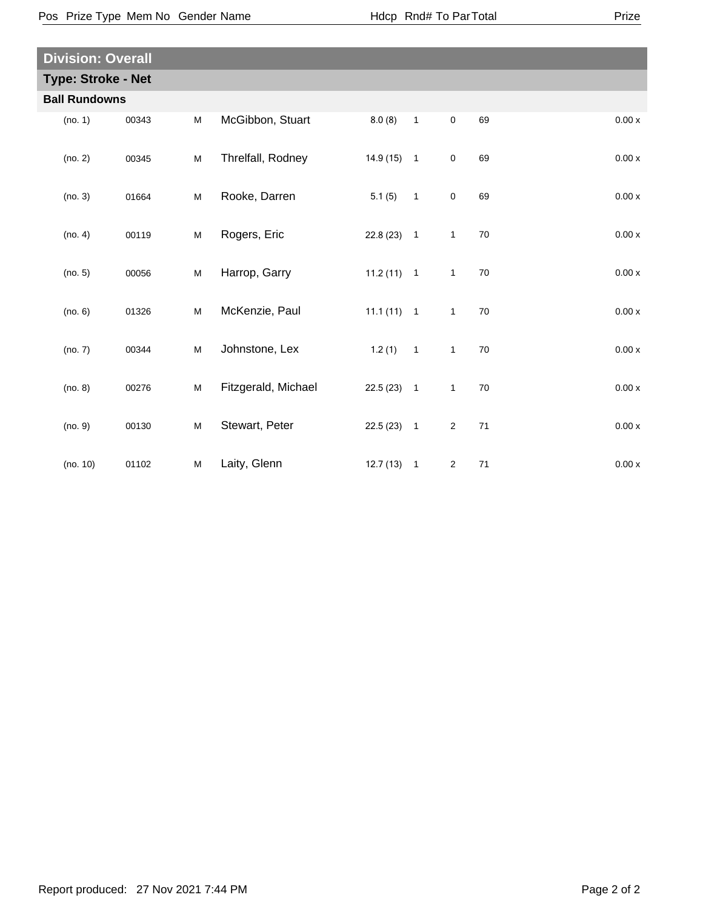| ×<br>I |
|--------|
|--------|

| <b>Division: Overall</b>  |       |   |                     |              |                          |                     |        |         |
|---------------------------|-------|---|---------------------|--------------|--------------------------|---------------------|--------|---------|
| <b>Type: Stroke - Net</b> |       |   |                     |              |                          |                     |        |         |
| <b>Ball Rundowns</b>      |       |   |                     |              |                          |                     |        |         |
| (no. 1)                   | 00343 | M | McGibbon, Stuart    | 8.0(8)       | $\overline{1}$           | $\mathsf{O}\xspace$ | 69     | 0.00x   |
| (no. 2)                   | 00345 | M | Threlfall, Rodney   | $14.9(15)$ 1 |                          | $\mathbf 0$         | 69     | 0.00x   |
| (no. 3)                   | 01664 | M | Rooke, Darren       | 5.1(5)       | $\overline{\phantom{1}}$ | $\mathbf 0$         | 69     | 0.00x   |
| (no. 4)                   | 00119 | M | Rogers, Eric        | $22.8(23)$ 1 |                          | $\mathbf{1}$        | 70     | $0.00x$ |
| (no. 5)                   | 00056 | M | Harrop, Garry       | $11.2(11)$ 1 |                          | $\mathbf{1}$        | 70     | 0.00 x  |
| (no. 6)                   | 01326 | M | McKenzie, Paul      | $11.1(11)$ 1 |                          | $\mathbf{1}$        | $70\,$ | 0.00 x  |
| (no. 7)                   | 00344 | M | Johnstone, Lex      | 1.2(1)       | $\overline{1}$           | $\mathbf{1}$        | $70\,$ | 0.00 x  |
| (no. 8)                   | 00276 | M | Fitzgerald, Michael | $22.5(23)$ 1 |                          | $\mathbf{1}$        | $70\,$ | 0.00x   |
| (no. 9)                   | 00130 | M | Stewart, Peter      | $22.5(23)$ 1 |                          | $\overline{2}$      | 71     | 0.00x   |
| (no. 10)                  | 01102 | M | Laity, Glenn        | 12.7(13)     | $\overline{1}$           | $\overline{2}$      | 71     | 0.00x   |